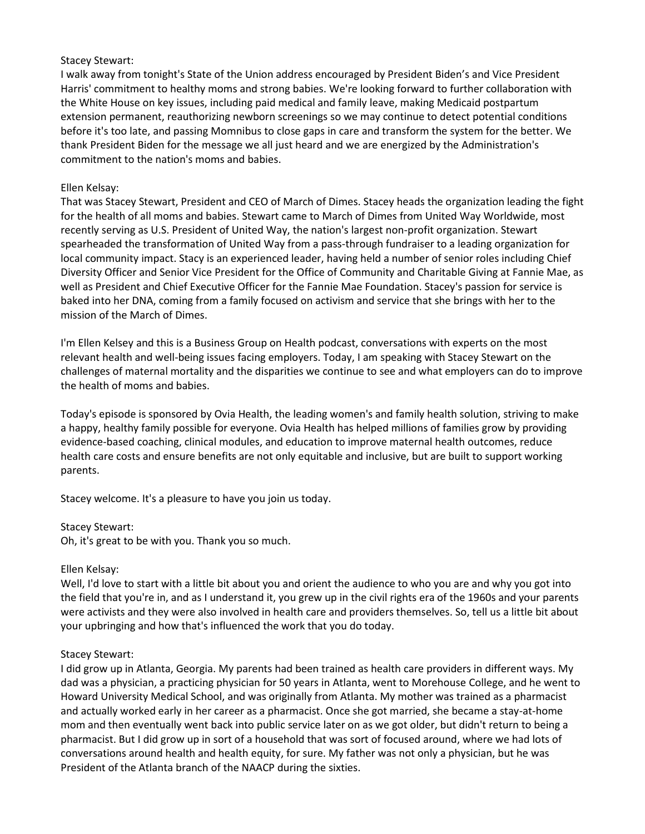# Stacey Stewart:

I walk away from tonight's State of the Union address encouraged by President Biden's and Vice President Harris' commitment to healthy moms and strong babies. We're looking forward to further collaboration with the White House on key issues, including paid medical and family leave, making Medicaid postpartum extension permanent, reauthorizing newborn screenings so we may continue to detect potential conditions before it's too late, and passing Momnibus to close gaps in care and transform the system for the better. We thank President Biden for the message we all just heard and we are energized by the Administration's commitment to the nation's moms and babies.

# Ellen Kelsay:

That was Stacey Stewart, President and CEO of March of Dimes. Stacey heads the organization leading the fight for the health of all moms and babies. Stewart came to March of Dimes from United Way Worldwide, most recently serving as U.S. President of United Way, the nation's largest non-profit organization. Stewart spearheaded the transformation of United Way from a pass-through fundraiser to a leading organization for local community impact. Stacy is an experienced leader, having held a number of senior roles including Chief Diversity Officer and Senior Vice President for the Office of Community and Charitable Giving at Fannie Mae, as well as President and Chief Executive Officer for the Fannie Mae Foundation. Stacey's passion for service is baked into her DNA, coming from a family focused on activism and service that she brings with her to the mission of the March of Dimes.

I'm Ellen Kelsey and this is a Business Group on Health podcast, conversations with experts on the most relevant health and well-being issues facing employers. Today, I am speaking with Stacey Stewart on the challenges of maternal mortality and the disparities we continue to see and what employers can do to improve the health of moms and babies.

Today's episode is sponsored by Ovia Health, the leading women's and family health solution, striving to make a happy, healthy family possible for everyone. Ovia Health has helped millions of families grow by providing evidence-based coaching, clinical modules, and education to improve maternal health outcomes, reduce health care costs and ensure benefits are not only equitable and inclusive, but are built to support working parents.

Stacey welcome. It's a pleasure to have you join us today.

# Stacey Stewart:

Oh, it's great to be with you. Thank you so much.

# Ellen Kelsay:

Well, I'd love to start with a little bit about you and orient the audience to who you are and why you got into the field that you're in, and as I understand it, you grew up in the civil rights era of the 1960s and your parents were activists and they were also involved in health care and providers themselves. So, tell us a little bit about your upbringing and how that's influenced the work that you do today.

# Stacey Stewart:

I did grow up in Atlanta, Georgia. My parents had been trained as health care providers in different ways. My dad was a physician, a practicing physician for 50 years in Atlanta, went to Morehouse College, and he went to Howard University Medical School, and was originally from Atlanta. My mother was trained as a pharmacist and actually worked early in her career as a pharmacist. Once she got married, she became a stay-at-home mom and then eventually went back into public service later on as we got older, but didn't return to being a pharmacist. But I did grow up in sort of a household that was sort of focused around, where we had lots of conversations around health and health equity, for sure. My father was not only a physician, but he was President of the Atlanta branch of the NAACP during the sixties.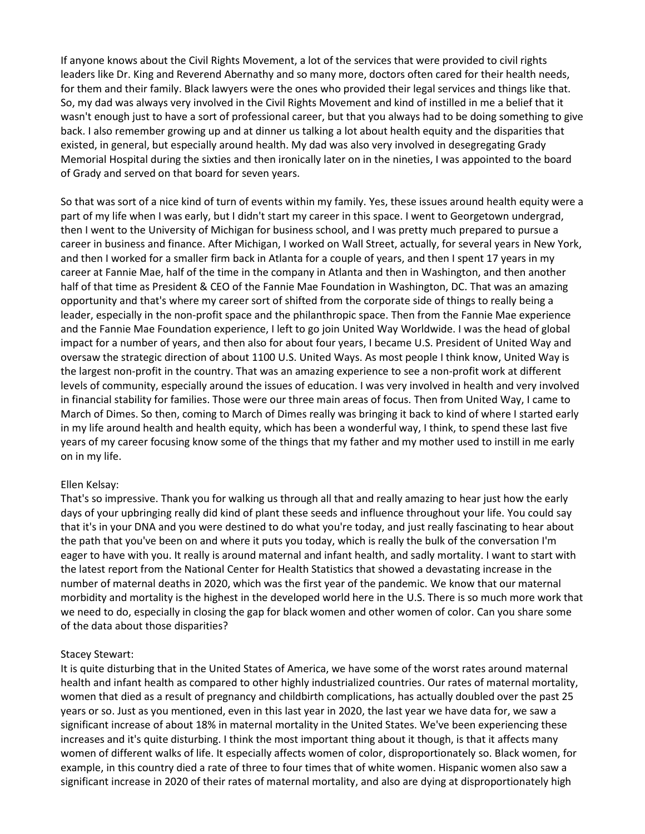If anyone knows about the Civil Rights Movement, a lot of the services that were provided to civil rights leaders like Dr. King and Reverend Abernathy and so many more, doctors often cared for their health needs, for them and their family. Black lawyers were the ones who provided their legal services and things like that. So, my dad was always very involved in the Civil Rights Movement and kind of instilled in me a belief that it wasn't enough just to have a sort of professional career, but that you always had to be doing something to give back. I also remember growing up and at dinner us talking a lot about health equity and the disparities that existed, in general, but especially around health. My dad was also very involved in desegregating Grady Memorial Hospital during the sixties and then ironically later on in the nineties, I was appointed to the board of Grady and served on that board for seven years.

So that was sort of a nice kind of turn of events within my family. Yes, these issues around health equity were a part of my life when I was early, but I didn't start my career in this space. I went to Georgetown undergrad, then I went to the University of Michigan for business school, and I was pretty much prepared to pursue a career in business and finance. After Michigan, I worked on Wall Street, actually, for several years in New York, and then I worked for a smaller firm back in Atlanta for a couple of years, and then I spent 17 years in my career at Fannie Mae, half of the time in the company in Atlanta and then in Washington, and then another half of that time as President & CEO of the Fannie Mae Foundation in Washington, DC. That was an amazing opportunity and that's where my career sort of shifted from the corporate side of things to really being a leader, especially in the non-profit space and the philanthropic space. Then from the Fannie Mae experience and the Fannie Mae Foundation experience, I left to go join United Way Worldwide. I was the head of global impact for a number of years, and then also for about four years, I became U.S. President of United Way and oversaw the strategic direction of about 1100 U.S. United Ways. As most people I think know, United Way is the largest non-profit in the country. That was an amazing experience to see a non-profit work at different levels of community, especially around the issues of education. I was very involved in health and very involved in financial stability for families. Those were our three main areas of focus. Then from United Way, I came to March of Dimes. So then, coming to March of Dimes really was bringing it back to kind of where I started early in my life around health and health equity, which has been a wonderful way, I think, to spend these last five years of my career focusing know some of the things that my father and my mother used to instill in me early on in my life.

#### Ellen Kelsay:

That's so impressive. Thank you for walking us through all that and really amazing to hear just how the early days of your upbringing really did kind of plant these seeds and influence throughout your life. You could say that it's in your DNA and you were destined to do what you're today, and just really fascinating to hear about the path that you've been on and where it puts you today, which is really the bulk of the conversation I'm eager to have with you. It really is around maternal and infant health, and sadly mortality. I want to start with the latest report from the National Center for Health Statistics that showed a devastating increase in the number of maternal deaths in 2020, which was the first year of the pandemic. We know that our maternal morbidity and mortality is the highest in the developed world here in the U.S. There is so much more work that we need to do, especially in closing the gap for black women and other women of color. Can you share some of the data about those disparities?

# Stacey Stewart:

It is quite disturbing that in the United States of America, we have some of the worst rates around maternal health and infant health as compared to other highly industrialized countries. Our rates of maternal mortality, women that died as a result of pregnancy and childbirth complications, has actually doubled over the past 25 years or so. Just as you mentioned, even in this last year in 2020, the last year we have data for, we saw a significant increase of about 18% in maternal mortality in the United States. We've been experiencing these increases and it's quite disturbing. I think the most important thing about it though, is that it affects many women of different walks of life. It especially affects women of color, disproportionately so. Black women, for example, in this country died a rate of three to four times that of white women. Hispanic women also saw a significant increase in 2020 of their rates of maternal mortality, and also are dying at disproportionately high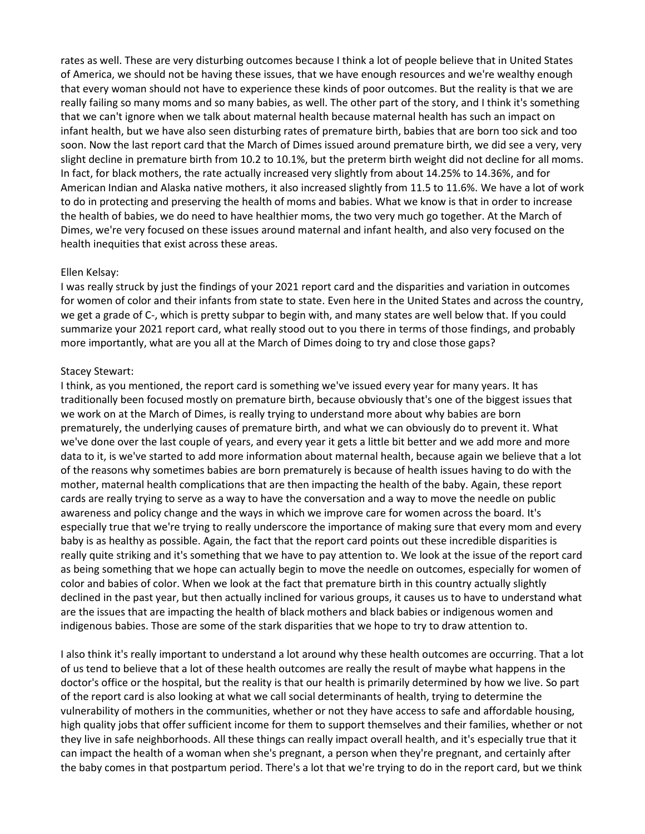rates as well. These are very disturbing outcomes because I think a lot of people believe that in United States of America, we should not be having these issues, that we have enough resources and we're wealthy enough that every woman should not have to experience these kinds of poor outcomes. But the reality is that we are really failing so many moms and so many babies, as well. The other part of the story, and I think it's something that we can't ignore when we talk about maternal health because maternal health has such an impact on infant health, but we have also seen disturbing rates of premature birth, babies that are born too sick and too soon. Now the last report card that the March of Dimes issued around premature birth, we did see a very, very slight decline in premature birth from 10.2 to 10.1%, but the preterm birth weight did not decline for all moms. In fact, for black mothers, the rate actually increased very slightly from about 14.25% to 14.36%, and for American Indian and Alaska native mothers, it also increased slightly from 11.5 to 11.6%. We have a lot of work to do in protecting and preserving the health of moms and babies. What we know is that in order to increase the health of babies, we do need to have healthier moms, the two very much go together. At the March of Dimes, we're very focused on these issues around maternal and infant health, and also very focused on the health inequities that exist across these areas.

### Ellen Kelsay:

I was really struck by just the findings of your 2021 report card and the disparities and variation in outcomes for women of color and their infants from state to state. Even here in the United States and across the country, we get a grade of C-, which is pretty subpar to begin with, and many states are well below that. If you could summarize your 2021 report card, what really stood out to you there in terms of those findings, and probably more importantly, what are you all at the March of Dimes doing to try and close those gaps?

### Stacey Stewart:

I think, as you mentioned, the report card is something we've issued every year for many years. It has traditionally been focused mostly on premature birth, because obviously that's one of the biggest issues that we work on at the March of Dimes, is really trying to understand more about why babies are born prematurely, the underlying causes of premature birth, and what we can obviously do to prevent it. What we've done over the last couple of years, and every year it gets a little bit better and we add more and more data to it, is we've started to add more information about maternal health, because again we believe that a lot of the reasons why sometimes babies are born prematurely is because of health issues having to do with the mother, maternal health complications that are then impacting the health of the baby. Again, these report cards are really trying to serve as a way to have the conversation and a way to move the needle on public awareness and policy change and the ways in which we improve care for women across the board. It's especially true that we're trying to really underscore the importance of making sure that every mom and every baby is as healthy as possible. Again, the fact that the report card points out these incredible disparities is really quite striking and it's something that we have to pay attention to. We look at the issue of the report card as being something that we hope can actually begin to move the needle on outcomes, especially for women of color and babies of color. When we look at the fact that premature birth in this country actually slightly declined in the past year, but then actually inclined for various groups, it causes us to have to understand what are the issues that are impacting the health of black mothers and black babies or indigenous women and indigenous babies. Those are some of the stark disparities that we hope to try to draw attention to.

I also think it's really important to understand a lot around why these health outcomes are occurring. That a lot of us tend to believe that a lot of these health outcomes are really the result of maybe what happens in the doctor's office or the hospital, but the reality is that our health is primarily determined by how we live. So part of the report card is also looking at what we call social determinants of health, trying to determine the vulnerability of mothers in the communities, whether or not they have access to safe and affordable housing, high quality jobs that offer sufficient income for them to support themselves and their families, whether or not they live in safe neighborhoods. All these things can really impact overall health, and it's especially true that it can impact the health of a woman when she's pregnant, a person when they're pregnant, and certainly after the baby comes in that postpartum period. There's a lot that we're trying to do in the report card, but we think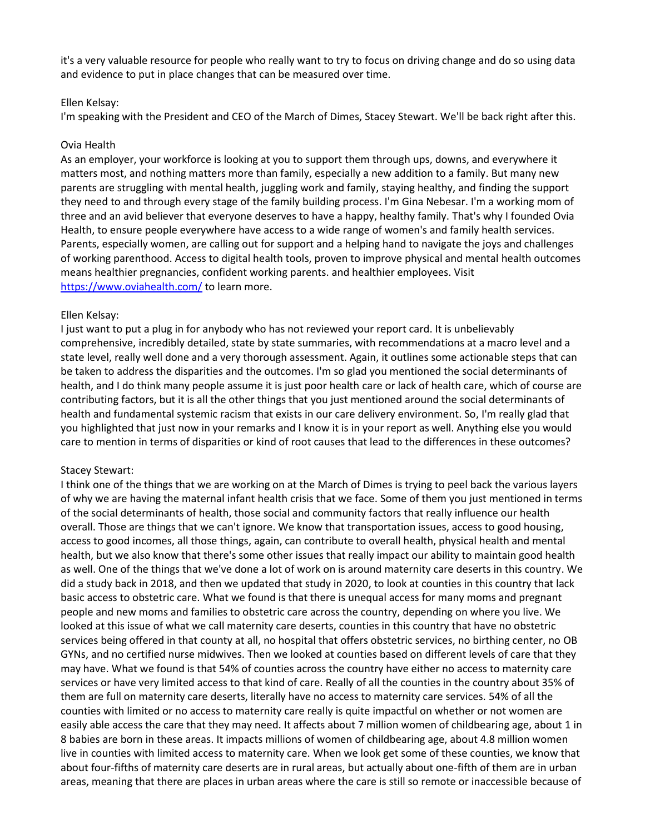it's a very valuable resource for people who really want to try to focus on driving change and do so using data and evidence to put in place changes that can be measured over time.

#### Ellen Kelsay:

I'm speaking with the President and CEO of the March of Dimes, Stacey Stewart. We'll be back right after this.

### Ovia Health

As an employer, your workforce is looking at you to support them through ups, downs, and everywhere it matters most, and nothing matters more than family, especially a new addition to a family. But many new parents are struggling with mental health, juggling work and family, staying healthy, and finding the support they need to and through every stage of the family building process. I'm Gina Nebesar. I'm a working mom of three and an avid believer that everyone deserves to have a happy, healthy family. That's why I founded Ovia Health, to ensure people everywhere have access to a wide range of women's and family health services. Parents, especially women, are calling out for support and a helping hand to navigate the joys and challenges of working parenthood. Access to digital health tools, proven to improve physical and mental health outcomes means healthier pregnancies, confident working parents. and healthier employees. Visit <https://www.oviahealth.com/> to learn more.

### Ellen Kelsay:

I just want to put a plug in for anybody who has not reviewed your report card. It is unbelievably comprehensive, incredibly detailed, state by state summaries, with recommendations at a macro level and a state level, really well done and a very thorough assessment. Again, it outlines some actionable steps that can be taken to address the disparities and the outcomes. I'm so glad you mentioned the social determinants of health, and I do think many people assume it is just poor health care or lack of health care, which of course are contributing factors, but it is all the other things that you just mentioned around the social determinants of health and fundamental systemic racism that exists in our care delivery environment. So, I'm really glad that you highlighted that just now in your remarks and I know it is in your report as well. Anything else you would care to mention in terms of disparities or kind of root causes that lead to the differences in these outcomes?

#### Stacey Stewart:

I think one of the things that we are working on at the March of Dimes is trying to peel back the various layers of why we are having the maternal infant health crisis that we face. Some of them you just mentioned in terms of the social determinants of health, those social and community factors that really influence our health overall. Those are things that we can't ignore. We know that transportation issues, access to good housing, access to good incomes, all those things, again, can contribute to overall health, physical health and mental health, but we also know that there's some other issues that really impact our ability to maintain good health as well. One of the things that we've done a lot of work on is around maternity care deserts in this country. We did a study back in 2018, and then we updated that study in 2020, to look at counties in this country that lack basic access to obstetric care. What we found is that there is unequal access for many moms and pregnant people and new moms and families to obstetric care across the country, depending on where you live. We looked at this issue of what we call maternity care deserts, counties in this country that have no obstetric services being offered in that county at all, no hospital that offers obstetric services, no birthing center, no OB GYNs, and no certified nurse midwives. Then we looked at counties based on different levels of care that they may have. What we found is that 54% of counties across the country have either no access to maternity care services or have very limited access to that kind of care. Really of all the counties in the country about 35% of them are full on maternity care deserts, literally have no access to maternity care services. 54% of all the counties with limited or no access to maternity care really is quite impactful on whether or not women are easily able access the care that they may need. It affects about 7 million women of childbearing age, about 1 in 8 babies are born in these areas. It impacts millions of women of childbearing age, about 4.8 million women live in counties with limited access to maternity care. When we look get some of these counties, we know that about four-fifths of maternity care deserts are in rural areas, but actually about one-fifth of them are in urban areas, meaning that there are places in urban areas where the care is still so remote or inaccessible because of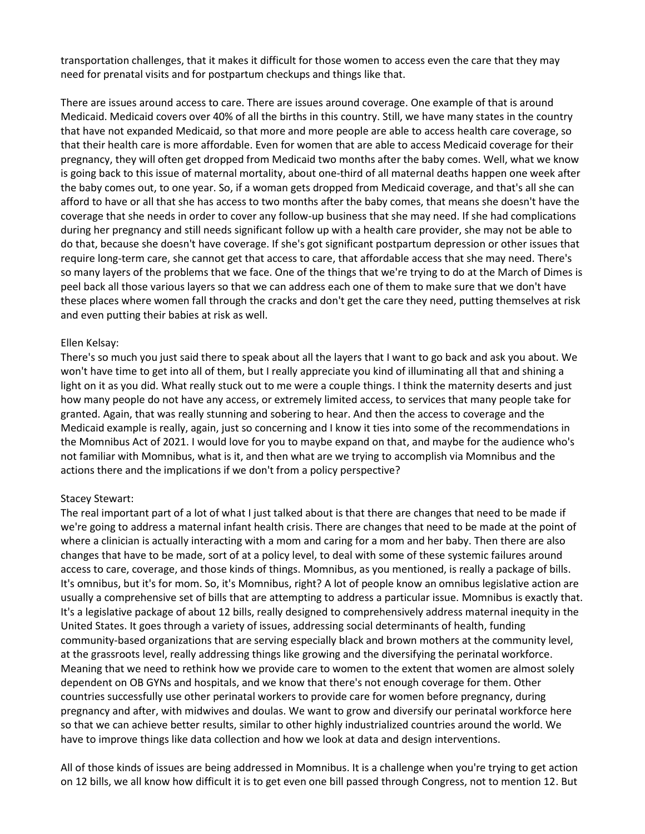transportation challenges, that it makes it difficult for those women to access even the care that they may need for prenatal visits and for postpartum checkups and things like that.

There are issues around access to care. There are issues around coverage. One example of that is around Medicaid. Medicaid covers over 40% of all the births in this country. Still, we have many states in the country that have not expanded Medicaid, so that more and more people are able to access health care coverage, so that their health care is more affordable. Even for women that are able to access Medicaid coverage for their pregnancy, they will often get dropped from Medicaid two months after the baby comes. Well, what we know is going back to this issue of maternal mortality, about one-third of all maternal deaths happen one week after the baby comes out, to one year. So, if a woman gets dropped from Medicaid coverage, and that's all she can afford to have or all that she has access to two months after the baby comes, that means she doesn't have the coverage that she needs in order to cover any follow-up business that she may need. If she had complications during her pregnancy and still needs significant follow up with a health care provider, she may not be able to do that, because she doesn't have coverage. If she's got significant postpartum depression or other issues that require long-term care, she cannot get that access to care, that affordable access that she may need. There's so many layers of the problems that we face. One of the things that we're trying to do at the March of Dimes is peel back all those various layers so that we can address each one of them to make sure that we don't have these places where women fall through the cracks and don't get the care they need, putting themselves at risk and even putting their babies at risk as well.

### Ellen Kelsay:

There's so much you just said there to speak about all the layers that I want to go back and ask you about. We won't have time to get into all of them, but I really appreciate you kind of illuminating all that and shining a light on it as you did. What really stuck out to me were a couple things. I think the maternity deserts and just how many people do not have any access, or extremely limited access, to services that many people take for granted. Again, that was really stunning and sobering to hear. And then the access to coverage and the Medicaid example is really, again, just so concerning and I know it ties into some of the recommendations in the Momnibus Act of 2021. I would love for you to maybe expand on that, and maybe for the audience who's not familiar with Momnibus, what is it, and then what are we trying to accomplish via Momnibus and the actions there and the implications if we don't from a policy perspective?

# Stacey Stewart:

The real important part of a lot of what I just talked about is that there are changes that need to be made if we're going to address a maternal infant health crisis. There are changes that need to be made at the point of where a clinician is actually interacting with a mom and caring for a mom and her baby. Then there are also changes that have to be made, sort of at a policy level, to deal with some of these systemic failures around access to care, coverage, and those kinds of things. Momnibus, as you mentioned, is really a package of bills. It's omnibus, but it's for mom. So, it's Momnibus, right? A lot of people know an omnibus legislative action are usually a comprehensive set of bills that are attempting to address a particular issue. Momnibus is exactly that. It's a legislative package of about 12 bills, really designed to comprehensively address maternal inequity in the United States. It goes through a variety of issues, addressing social determinants of health, funding community-based organizations that are serving especially black and brown mothers at the community level, at the grassroots level, really addressing things like growing and the diversifying the perinatal workforce. Meaning that we need to rethink how we provide care to women to the extent that women are almost solely dependent on OB GYNs and hospitals, and we know that there's not enough coverage for them. Other countries successfully use other perinatal workers to provide care for women before pregnancy, during pregnancy and after, with midwives and doulas. We want to grow and diversify our perinatal workforce here so that we can achieve better results, similar to other highly industrialized countries around the world. We have to improve things like data collection and how we look at data and design interventions.

All of those kinds of issues are being addressed in Momnibus. It is a challenge when you're trying to get action on 12 bills, we all know how difficult it is to get even one bill passed through Congress, not to mention 12. But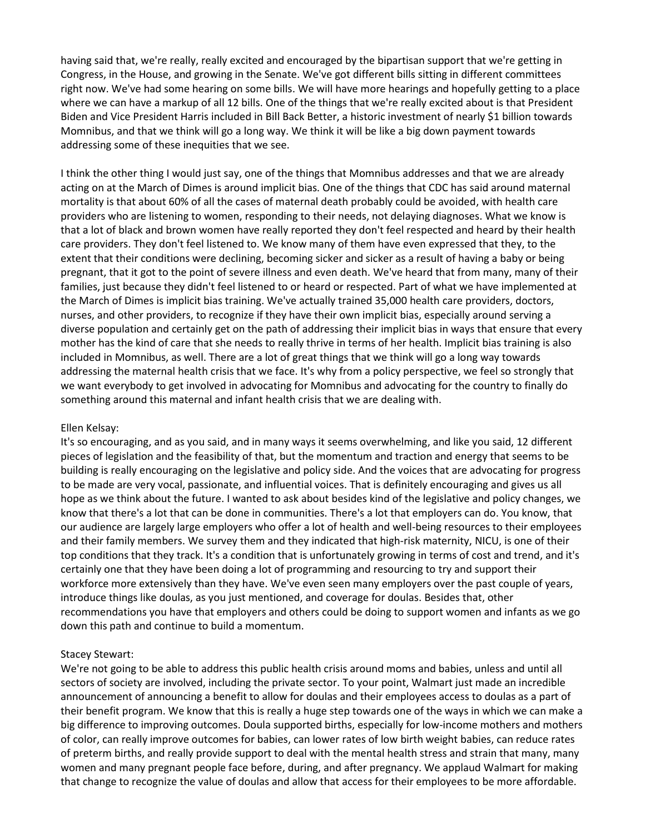having said that, we're really, really excited and encouraged by the bipartisan support that we're getting in Congress, in the House, and growing in the Senate. We've got different bills sitting in different committees right now. We've had some hearing on some bills. We will have more hearings and hopefully getting to a place where we can have a markup of all 12 bills. One of the things that we're really excited about is that President Biden and Vice President Harris included in Bill Back Better, a historic investment of nearly \$1 billion towards Momnibus, and that we think will go a long way. We think it will be like a big down payment towards addressing some of these inequities that we see.

I think the other thing I would just say, one of the things that Momnibus addresses and that we are already acting on at the March of Dimes is around implicit bias. One of the things that CDC has said around maternal mortality is that about 60% of all the cases of maternal death probably could be avoided, with health care providers who are listening to women, responding to their needs, not delaying diagnoses. What we know is that a lot of black and brown women have really reported they don't feel respected and heard by their health care providers. They don't feel listened to. We know many of them have even expressed that they, to the extent that their conditions were declining, becoming sicker and sicker as a result of having a baby or being pregnant, that it got to the point of severe illness and even death. We've heard that from many, many of their families, just because they didn't feel listened to or heard or respected. Part of what we have implemented at the March of Dimes is implicit bias training. We've actually trained 35,000 health care providers, doctors, nurses, and other providers, to recognize if they have their own implicit bias, especially around serving a diverse population and certainly get on the path of addressing their implicit bias in ways that ensure that every mother has the kind of care that she needs to really thrive in terms of her health. Implicit bias training is also included in Momnibus, as well. There are a lot of great things that we think will go a long way towards addressing the maternal health crisis that we face. It's why from a policy perspective, we feel so strongly that we want everybody to get involved in advocating for Momnibus and advocating for the country to finally do something around this maternal and infant health crisis that we are dealing with.

#### Ellen Kelsay:

It's so encouraging, and as you said, and in many ways it seems overwhelming, and like you said, 12 different pieces of legislation and the feasibility of that, but the momentum and traction and energy that seems to be building is really encouraging on the legislative and policy side. And the voices that are advocating for progress to be made are very vocal, passionate, and influential voices. That is definitely encouraging and gives us all hope as we think about the future. I wanted to ask about besides kind of the legislative and policy changes, we know that there's a lot that can be done in communities. There's a lot that employers can do. You know, that our audience are largely large employers who offer a lot of health and well-being resources to their employees and their family members. We survey them and they indicated that high-risk maternity, NICU, is one of their top conditions that they track. It's a condition that is unfortunately growing in terms of cost and trend, and it's certainly one that they have been doing a lot of programming and resourcing to try and support their workforce more extensively than they have. We've even seen many employers over the past couple of years, introduce things like doulas, as you just mentioned, and coverage for doulas. Besides that, other recommendations you have that employers and others could be doing to support women and infants as we go down this path and continue to build a momentum.

#### Stacey Stewart:

We're not going to be able to address this public health crisis around moms and babies, unless and until all sectors of society are involved, including the private sector. To your point, Walmart just made an incredible announcement of announcing a benefit to allow for doulas and their employees access to doulas as a part of their benefit program. We know that this is really a huge step towards one of the ways in which we can make a big difference to improving outcomes. Doula supported births, especially for low-income mothers and mothers of color, can really improve outcomes for babies, can lower rates of low birth weight babies, can reduce rates of preterm births, and really provide support to deal with the mental health stress and strain that many, many women and many pregnant people face before, during, and after pregnancy. We applaud Walmart for making that change to recognize the value of doulas and allow that access for their employees to be more affordable.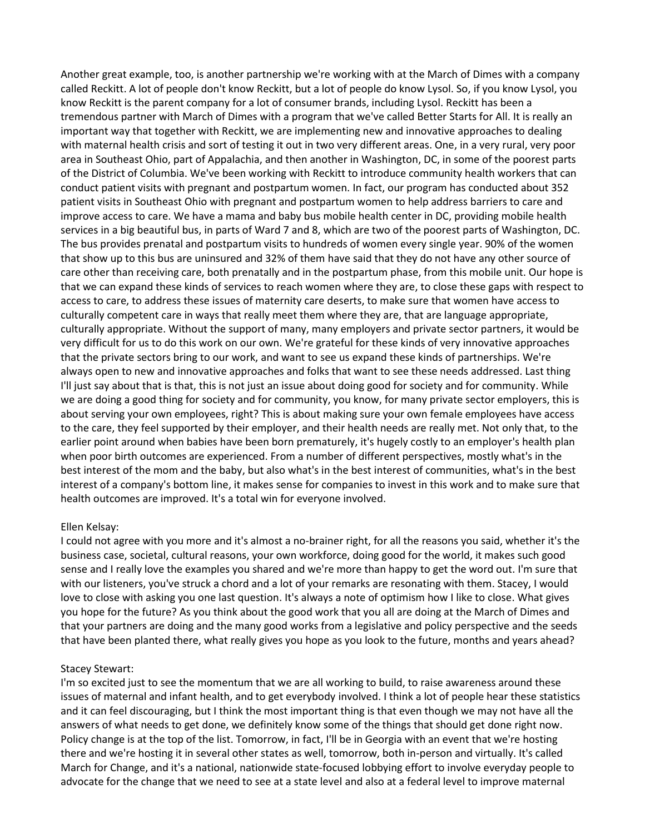Another great example, too, is another partnership we're working with at the March of Dimes with a company called Reckitt. A lot of people don't know Reckitt, but a lot of people do know Lysol. So, if you know Lysol, you know Reckitt is the parent company for a lot of consumer brands, including Lysol. Reckitt has been a tremendous partner with March of Dimes with a program that we've called Better Starts for All. It is really an important way that together with Reckitt, we are implementing new and innovative approaches to dealing with maternal health crisis and sort of testing it out in two very different areas. One, in a very rural, very poor area in Southeast Ohio, part of Appalachia, and then another in Washington, DC, in some of the poorest parts of the District of Columbia. We've been working with Reckitt to introduce community health workers that can conduct patient visits with pregnant and postpartum women. In fact, our program has conducted about 352 patient visits in Southeast Ohio with pregnant and postpartum women to help address barriers to care and improve access to care. We have a mama and baby bus mobile health center in DC, providing mobile health services in a big beautiful bus, in parts of Ward 7 and 8, which are two of the poorest parts of Washington, DC. The bus provides prenatal and postpartum visits to hundreds of women every single year. 90% of the women that show up to this bus are uninsured and 32% of them have said that they do not have any other source of care other than receiving care, both prenatally and in the postpartum phase, from this mobile unit. Our hope is that we can expand these kinds of services to reach women where they are, to close these gaps with respect to access to care, to address these issues of maternity care deserts, to make sure that women have access to culturally competent care in ways that really meet them where they are, that are language appropriate, culturally appropriate. Without the support of many, many employers and private sector partners, it would be very difficult for us to do this work on our own. We're grateful for these kinds of very innovative approaches that the private sectors bring to our work, and want to see us expand these kinds of partnerships. We're always open to new and innovative approaches and folks that want to see these needs addressed. Last thing I'll just say about that is that, this is not just an issue about doing good for society and for community. While we are doing a good thing for society and for community, you know, for many private sector employers, this is about serving your own employees, right? This is about making sure your own female employees have access to the care, they feel supported by their employer, and their health needs are really met. Not only that, to the earlier point around when babies have been born prematurely, it's hugely costly to an employer's health plan when poor birth outcomes are experienced. From a number of different perspectives, mostly what's in the best interest of the mom and the baby, but also what's in the best interest of communities, what's in the best interest of a company's bottom line, it makes sense for companies to invest in this work and to make sure that health outcomes are improved. It's a total win for everyone involved.

#### Ellen Kelsay:

I could not agree with you more and it's almost a no-brainer right, for all the reasons you said, whether it's the business case, societal, cultural reasons, your own workforce, doing good for the world, it makes such good sense and I really love the examples you shared and we're more than happy to get the word out. I'm sure that with our listeners, you've struck a chord and a lot of your remarks are resonating with them. Stacey, I would love to close with asking you one last question. It's always a note of optimism how I like to close. What gives you hope for the future? As you think about the good work that you all are doing at the March of Dimes and that your partners are doing and the many good works from a legislative and policy perspective and the seeds that have been planted there, what really gives you hope as you look to the future, months and years ahead?

# Stacey Stewart:

I'm so excited just to see the momentum that we are all working to build, to raise awareness around these issues of maternal and infant health, and to get everybody involved. I think a lot of people hear these statistics and it can feel discouraging, but I think the most important thing is that even though we may not have all the answers of what needs to get done, we definitely know some of the things that should get done right now. Policy change is at the top of the list. Tomorrow, in fact, I'll be in Georgia with an event that we're hosting there and we're hosting it in several other states as well, tomorrow, both in-person and virtually. It's called March for Change, and it's a national, nationwide state-focused lobbying effort to involve everyday people to advocate for the change that we need to see at a state level and also at a federal level to improve maternal